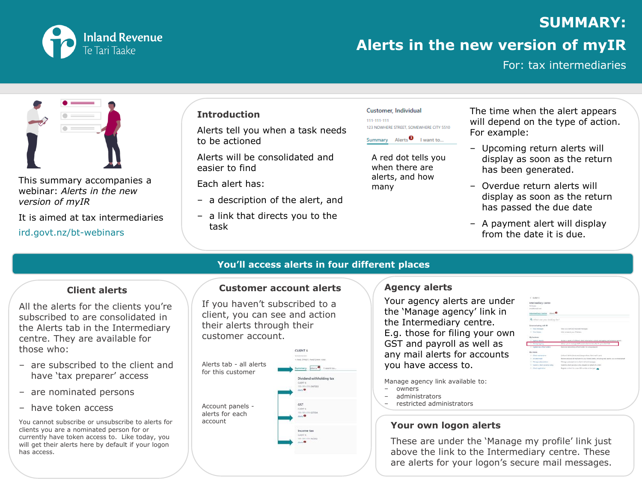

# **SUMMARY:**

## **Alerts in the new version of myIR**

For: tax intermediaries



This summary accompanies a webinar: *Alerts in the new version of myIR*

It is aimed at tax intermediaries

ird.govt.nz/bt-webinars

#### **Introduction**

Alerts tell you when a task needs to be actioned

Alerts will be consolidated and easier to find

Each alert has:

- a description of the alert, and
- ‒ a link that directs you to the task

| Customer, Individual |  |                                         |  |  |  |  |  |
|----------------------|--|-----------------------------------------|--|--|--|--|--|
| 111-111-111          |  | 123 NOWHERE STREET, SOMEWHERE CITY 5510 |  |  |  |  |  |
|                      |  | Summary Alerts <sup>1</sup> I want to   |  |  |  |  |  |

A red dot tells you when there are alerts, and how many

The time when the alert appears will depend on the type of action. For example:

- ‒ Upcoming return alerts will display as soon as the return has been generated.
- ‒ Overdue return alerts will display as soon as the return has passed the due date
- A payment alert will display from the date it is due.

### **Client alerts**

All the alerts for the clients you're subscribed to are consolidated in the Alerts tab in the Intermediary centre. They are available for those who:

- ‒ are subscribed to the client and have 'tax preparer' access
- are nominated persons
- ‒ have token access

You cannot subscribe or unsubscribe to alerts for clients you are a nominated person for or currently have token access to. Like today, you will get their alerts here by default if your logon has access.

### **Customer account alerts**

**You'll access alerts in four different places**

If you haven't subscribed to a client, you can see and action their alerts through their customer account.



### **Agency alerts**

Your agency alerts are under the 'Manage agency' link in the Intermediary centre. E.g. those for filing your own GST and payroll as well as any mail alerts for accounts you have access to.

Manage agency link available to: ‒ owners ‒ administrators ‒ restricted administrators

### **Your own logon alerts**

These are under the 'Manage my profile' link just above the link to the Intermediary centre. These are alerts for your logon's secure mail messages.

| <b>CONTRACTOR</b><br>$e$ cultures   |                                                                                                   |  |  |  |  |
|-------------------------------------|---------------------------------------------------------------------------------------------------|--|--|--|--|
| Intermediary centre                 |                                                                                                   |  |  |  |  |
| <b>Sk Churket</b>                   |                                                                                                   |  |  |  |  |
| amplificated inter-                 |                                                                                                   |  |  |  |  |
|                                     |                                                                                                   |  |  |  |  |
| Intermediary centre Alerts          |                                                                                                   |  |  |  |  |
| Q. What are you looking for?        |                                                                                                   |  |  |  |  |
|                                     |                                                                                                   |  |  |  |  |
| Communicating with III.             |                                                                                                   |  |  |  |  |
| 3 View Entrance                     | View your meet and terminal instruges.                                                            |  |  |  |  |
| # View letters                      | Year of search your Allement.                                                                     |  |  |  |  |
| My business                         |                                                                                                   |  |  |  |  |
| A. Agresy reports                   | Access a united of different cleen inhomotion, activity and assessor performance reports.         |  |  |  |  |
| 5 Maringe agency                    | Allows you to manage staff accept criminal tenanty for your client late                           |  |  |  |  |
| 9 Visiter be chief brides           | AAA and remove key other notifies for a too preparer                                              |  |  |  |  |
| My clients                          |                                                                                                   |  |  |  |  |
| 3 Clevel maintenance                | Unit and states clarits and change where class real is sent.                                      |  |  |  |  |
| All clerk yield<br>×                | Review and save all mail sent to your lisked clients, including mail sent to you can their behalf |  |  |  |  |
| <b>Manage subscriptions</b><br>s    | Manage subscriptions to cleve real, and messages                                                  |  |  |  |  |
| z<br>Submit a short problem railing | Submit a short-process colleg request on behalf of a client                                       |  |  |  |  |
|                                     |                                                                                                   |  |  |  |  |